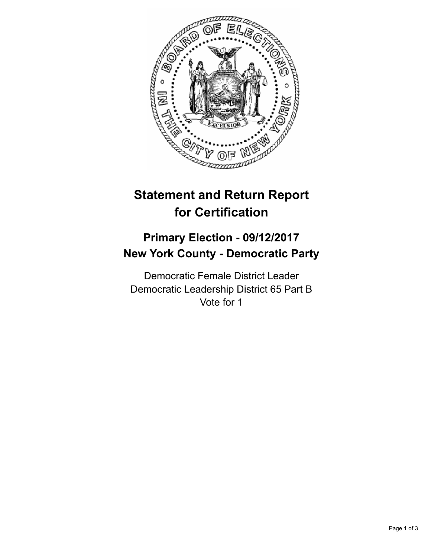

## **Statement and Return Report for Certification**

## **Primary Election - 09/12/2017 New York County - Democratic Party**

Democratic Female District Leader Democratic Leadership District 65 Part B Vote for 1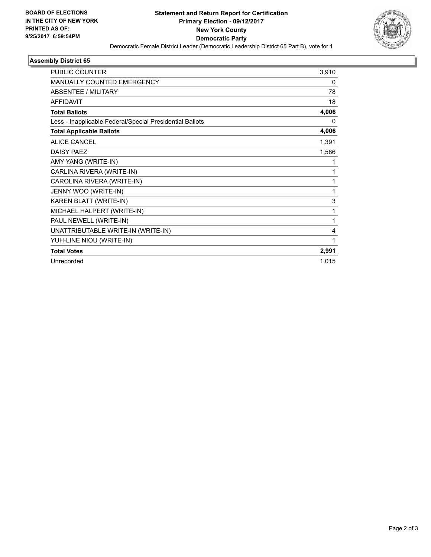

## **Assembly District 65**

| PUBLIC COUNTER                                           | 3,910 |
|----------------------------------------------------------|-------|
| MANUALLY COUNTED EMERGENCY                               | 0     |
| <b>ABSENTEE / MILITARY</b>                               | 78    |
| <b>AFFIDAVIT</b>                                         | 18    |
| <b>Total Ballots</b>                                     | 4,006 |
| Less - Inapplicable Federal/Special Presidential Ballots | 0     |
| <b>Total Applicable Ballots</b>                          | 4,006 |
| <b>ALICE CANCEL</b>                                      | 1,391 |
| <b>DAISY PAEZ</b>                                        | 1,586 |
| AMY YANG (WRITE-IN)                                      |       |
| CARLINA RIVERA (WRITE-IN)                                | 1     |
| CAROLINA RIVERA (WRITE-IN)                               | 1     |
| JENNY WOO (WRITE-IN)                                     | 1     |
| KAREN BLATT (WRITE-IN)                                   | 3     |
| MICHAEL HALPERT (WRITE-IN)                               | 1     |
| PAUL NEWELL (WRITE-IN)                                   | 1     |
| UNATTRIBUTABLE WRITE-IN (WRITE-IN)                       | 4     |
| YUH-LINE NIOU (WRITE-IN)                                 |       |
| <b>Total Votes</b>                                       | 2,991 |
| Unrecorded                                               | 1,015 |